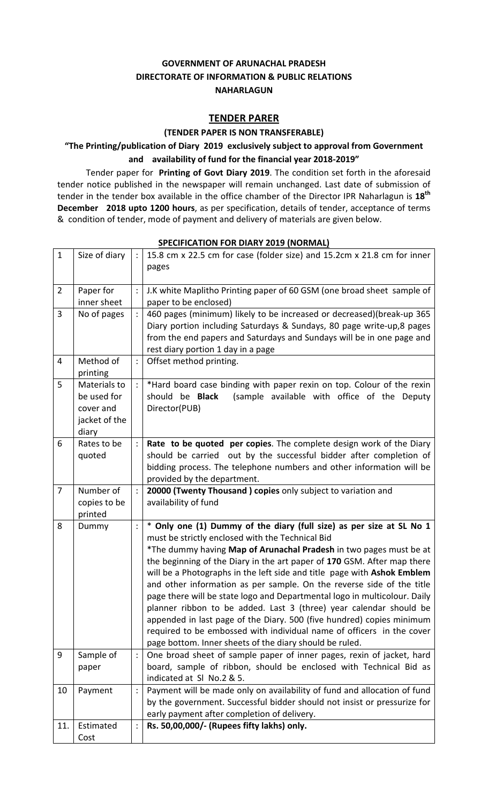# **GOVERNMENT OF ARUNACHAL PRADESH DIRECTORATE OF INFORMATION & PUBLIC RELATIONS NAHARLAGUN**

## **TENDER PARER**

#### **(TENDER PAPER IS NON TRANSFERABLE)**

# **"The Printing/publication of Diary 2019 exclusively subject to approval from Government and availability of fund for the financial year 2018‐2019"**

Tender paper for **Printing of Govt Diary 2019**. The condition set forth in the aforesaid tender notice published in the newspaper will remain unchanged. Last date of submission of tender in the tender box available in the office chamber of the Director IPR Naharlagun is **18th December 2018 upto 1200 hours**, as per specification, details of tender, acceptance of terms & condition of tender, mode of payment and delivery of materials are given below.

| $\mathbf{1}$   | Size of diary                                                      | $\ddot{\cdot}$ | 15.8 cm x 22.5 cm for case (folder size) and 15.2cm x 21.8 cm for inner<br>pages                                                                                                                                                                                                                                                                                                                                                                                                                                                                                                                                                                                                                                                                                                              |
|----------------|--------------------------------------------------------------------|----------------|-----------------------------------------------------------------------------------------------------------------------------------------------------------------------------------------------------------------------------------------------------------------------------------------------------------------------------------------------------------------------------------------------------------------------------------------------------------------------------------------------------------------------------------------------------------------------------------------------------------------------------------------------------------------------------------------------------------------------------------------------------------------------------------------------|
| $\overline{2}$ | Paper for<br>inner sheet                                           |                | J.K white Maplitho Printing paper of 60 GSM (one broad sheet sample of<br>paper to be enclosed)                                                                                                                                                                                                                                                                                                                                                                                                                                                                                                                                                                                                                                                                                               |
| 3              | No of pages                                                        |                | 460 pages (minimum) likely to be increased or decreased)(break-up 365<br>Diary portion including Saturdays & Sundays, 80 page write-up, 8 pages<br>from the end papers and Saturdays and Sundays will be in one page and<br>rest diary portion 1 day in a page                                                                                                                                                                                                                                                                                                                                                                                                                                                                                                                                |
| 4              | Method of<br>printing                                              |                | Offset method printing.                                                                                                                                                                                                                                                                                                                                                                                                                                                                                                                                                                                                                                                                                                                                                                       |
| 5              | Materials to<br>be used for<br>cover and<br>jacket of the<br>diary |                | *Hard board case binding with paper rexin on top. Colour of the rexin<br>(sample available with office of the Deputy<br>should be <b>Black</b><br>Director(PUB)                                                                                                                                                                                                                                                                                                                                                                                                                                                                                                                                                                                                                               |
| 6              | Rates to be<br>quoted                                              |                | Rate to be quoted per copies. The complete design work of the Diary<br>should be carried out by the successful bidder after completion of<br>bidding process. The telephone numbers and other information will be<br>provided by the department.                                                                                                                                                                                                                                                                                                                                                                                                                                                                                                                                              |
| $\overline{7}$ | Number of<br>copies to be<br>printed                               |                | 20000 (Twenty Thousand) copies only subject to variation and<br>availability of fund                                                                                                                                                                                                                                                                                                                                                                                                                                                                                                                                                                                                                                                                                                          |
| 8              | Dummy                                                              |                | * Only one (1) Dummy of the diary (full size) as per size at SL No 1<br>must be strictly enclosed with the Technical Bid<br>*The dummy having Map of Arunachal Pradesh in two pages must be at<br>the beginning of the Diary in the art paper of 170 GSM. After map there<br>will be a Photographs in the left side and title page with Ashok Emblem<br>and other information as per sample. On the reverse side of the title<br>page there will be state logo and Departmental logo in multicolour. Daily<br>planner ribbon to be added. Last 3 (three) year calendar should be<br>appended in last page of the Diary. 500 (five hundred) copies minimum<br>required to be embossed with individual name of officers in the cover<br>page bottom. Inner sheets of the diary should be ruled. |
| 9              | Sample of<br>paper                                                 |                | One broad sheet of sample paper of inner pages, rexin of jacket, hard<br>board, sample of ribbon, should be enclosed with Technical Bid as<br>indicated at SI No.2 & 5.                                                                                                                                                                                                                                                                                                                                                                                                                                                                                                                                                                                                                       |
| 10             | Payment                                                            |                | Payment will be made only on availability of fund and allocation of fund<br>by the government. Successful bidder should not insist or pressurize for<br>early payment after completion of delivery.                                                                                                                                                                                                                                                                                                                                                                                                                                                                                                                                                                                           |
| 11.            | Estimated<br>Cost                                                  | :              | Rs. 50,00,000/- (Rupees fifty lakhs) only.                                                                                                                                                                                                                                                                                                                                                                                                                                                                                                                                                                                                                                                                                                                                                    |

#### **SPECIFICATION FOR DIARY 2019 (NORMAL)**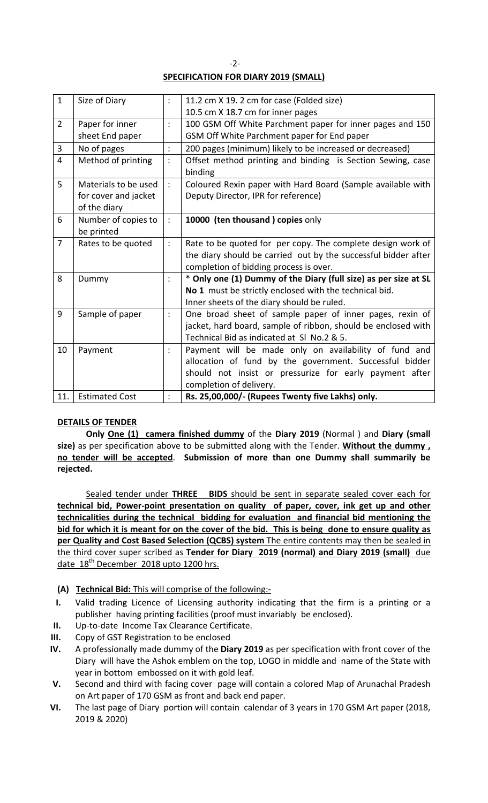# **SPECIFICATION FOR DIARY 2019 (SMALL)**

| $\mathbf{1}$   | Size of Diary         |                      | 11.2 cm X 19. 2 cm for case (Folded size)                       |
|----------------|-----------------------|----------------------|-----------------------------------------------------------------|
|                |                       |                      | 10.5 cm X 18.7 cm for inner pages                               |
| $\overline{2}$ | Paper for inner       | $\ddot{\phantom{a}}$ | 100 GSM Off White Parchment paper for inner pages and 150       |
|                | sheet End paper       |                      | GSM Off White Parchment paper for End paper                     |
| 3              | No of pages           |                      | 200 pages (minimum) likely to be increased or decreased)        |
| $\overline{4}$ | Method of printing    | $\ddot{\cdot}$       | Offset method printing and binding is Section Sewing, case      |
|                |                       |                      | binding                                                         |
| 5              | Materials to be used  |                      | Coloured Rexin paper with Hard Board (Sample available with     |
|                | for cover and jacket  |                      | Deputy Director, IPR for reference)                             |
|                | of the diary          |                      |                                                                 |
| 6              | Number of copies to   |                      | 10000 (ten thousand ) copies only                               |
|                | be printed            |                      |                                                                 |
| $\overline{7}$ | Rates to be quoted    | $\ddot{\phantom{a}}$ | Rate to be quoted for per copy. The complete design work of     |
|                |                       |                      | the diary should be carried out by the successful bidder after  |
|                |                       |                      | completion of bidding process is over.                          |
| 8              | Dummy                 |                      | * Only one (1) Dummy of the Diary (full size) as per size at SL |
|                |                       |                      | No 1 must be strictly enclosed with the technical bid.          |
|                |                       |                      | Inner sheets of the diary should be ruled.                      |
| 9              | Sample of paper       | $\ddot{\cdot}$       | One broad sheet of sample paper of inner pages, rexin of        |
|                |                       |                      | jacket, hard board, sample of ribbon, should be enclosed with   |
|                |                       |                      | Technical Bid as indicated at SI No.2 & 5.                      |
| 10             | Payment               |                      | Payment will be made only on availability of fund and           |
|                |                       |                      | allocation of fund by the government. Successful bidder         |
|                |                       |                      | should not insist or pressurize for early payment after         |
|                |                       |                      | completion of delivery.                                         |
| 11.            | <b>Estimated Cost</b> |                      | Rs. 25,00,000/- (Rupees Twenty five Lakhs) only.                |

## **DETAILS OF TENDER**

**Only One (1) camera finished dummy** of the **Diary 2019** (Normal ) and **Diary (small size)** as per specification above to be submitted along with the Tender. **Without the dummy , no tender will be accepted**. **Submission of more than one Dummy shall summarily be rejected.**

Sealed tender under **THREE BIDS** should be sent in separate sealed cover each for **technical bid, Power‐point presentation on quality of paper, cover, ink get up and other technicalities during the technical bidding for evaluation and financial bid mentioning the** bid for which it is meant for on the cover of the bid. This is being done to ensure quality as **per Quality and Cost Based Selection (QCBS) system** The entire contents may then be sealed in the third cover super scribed as **Tender for Diary 2019 (normal) and Diary 2019 (small)** due date 18<sup>th</sup> December 2018 upto 1200 hrs.

- **(A) Technical Bid:** This will comprise of the following:‐
- **I.** Valid trading Licence of Licensing authority indicating that the firm is a printing or a publisher having printing facilities (proof must invariably be enclosed).
- **II.** Up‐to‐date Income Tax Clearance Certificate.
- **III.** Copy of GST Registration to be enclosed
- **IV.** A professionally made dummy of the **Diary 2019** as per specification with front cover of the Diary will have the Ashok emblem on the top, LOGO in middle and name of the State with year in bottom embossed on it with gold leaf.
- **V.** Second and third with facing cover page will contain a colored Map of Arunachal Pradesh on Art paper of 170 GSM as front and back end paper.
- **VI.** The last page of Diary portion will contain calendar of 3 years in 170 GSM Art paper (2018, 2019 & 2020)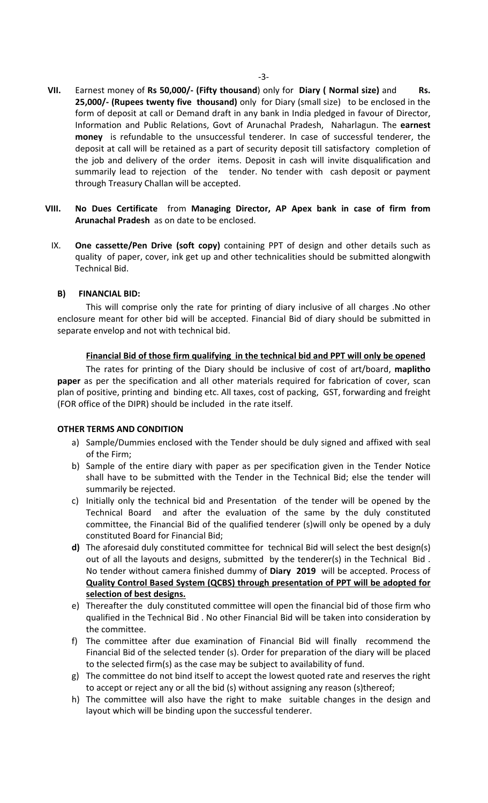- **VII.** Earnest money of **Rs 50,000/‐ (Fifty thousand**) only for **Diary ( Normal size)** and **Rs. 25,000/‐ (Rupees twenty five thousand)** only for Diary (small size) to be enclosed in the form of deposit at call or Demand draft in any bank in India pledged in favour of Director, Information and Public Relations, Govt of Arunachal Pradesh, Naharlagun. The **earnest money** is refundable to the unsuccessful tenderer. In case of successful tenderer, the deposit at call will be retained as a part of security deposit till satisfactory completion of the job and delivery of the order items. Deposit in cash will invite disqualification and summarily lead to rejection of the tender. No tender with cash deposit or payment through Treasury Challan will be accepted.
- **VIII. No Dues Certificate** from **Managing Director, AP Apex bank in case of firm from Arunachal Pradesh** as on date to be enclosed.
	- IX. **One cassette/Pen Drive (soft copy)** containing PPT of design and other details such as quality of paper, cover, ink get up and other technicalities should be submitted alongwith Technical Bid.

#### **B) FINANCIAL BID:**

This will comprise only the rate for printing of diary inclusive of all charges .No other enclosure meant for other bid will be accepted. Financial Bid of diary should be submitted in separate envelop and not with technical bid.

#### **Financial Bid of those firm qualifying in the technical bid and PPT will only be opened**

 The rates for printing of the Diary should be inclusive of cost of art/board, **maplitho paper** as per the specification and all other materials required for fabrication of cover, scan plan of positive, printing and binding etc. All taxes, cost of packing, GST, forwarding and freight (FOR office of the DIPR) should be included in the rate itself.

## **OTHER TERMS AND CONDITION**

- a) Sample/Dummies enclosed with the Tender should be duly signed and affixed with seal of the Firm;
- b) Sample of the entire diary with paper as per specification given in the Tender Notice shall have to be submitted with the Tender in the Technical Bid; else the tender will summarily be rejected.
- c) Initially only the technical bid and Presentation of the tender will be opened by the Technical Board and after the evaluation of the same by the duly constituted committee, the Financial Bid of the qualified tenderer (s)will only be opened by a duly constituted Board for Financial Bid;
- **d)** The aforesaid duly constituted committee for technical Bid will select the best design(s) out of all the layouts and designs, submitted by the tenderer(s) in the Technical Bid . No tender without camera finished dummy of **Diary 2019** will be accepted. Process of **Quality Control Based System (QCBS) through presentation of PPT will be adopted for selection of best designs.**
- e) Thereafter the duly constituted committee will open the financial bid of those firm who qualified in the Technical Bid . No other Financial Bid will be taken into consideration by the committee.
- f) The committee after due examination of Financial Bid will finally recommend the Financial Bid of the selected tender (s). Order for preparation of the diary will be placed to the selected firm(s) as the case may be subject to availability of fund.
- g) The committee do not bind itself to accept the lowest quoted rate and reserves the right to accept or reject any or all the bid (s) without assigning any reason (s)thereof;
- h) The committee will also have the right to make suitable changes in the design and layout which will be binding upon the successful tenderer.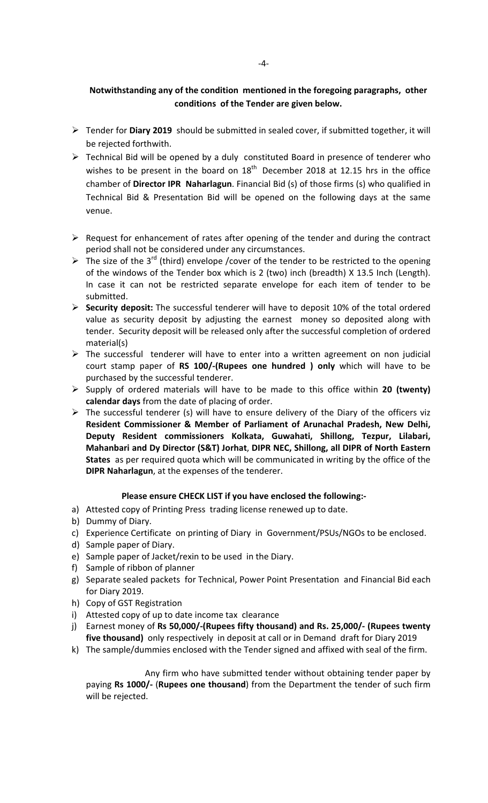# **Notwithstanding any of the condition mentioned in the foregoing paragraphs, other conditions of the Tender are given below.**

- ¾ Tender for **Diary 2019** should be submitted in sealed cover, if submitted together, it will be rejected forthwith.
- ¾ Technical Bid will be opened by a duly constituted Board in presence of tenderer who wishes to be present in the board on  $18<sup>th</sup>$  December 2018 at 12.15 hrs in the office chamber of **Director IPR Naharlagun**. Financial Bid (s) of those firms (s) who qualified in Technical Bid & Presentation Bid will be opened on the following days at the same venue.
- $\triangleright$  Request for enhancement of rates after opening of the tender and during the contract period shall not be considered under any circumstances.
- $\triangleright$  The size of the 3<sup>rd</sup> (third) envelope /cover of the tender to be restricted to the opening of the windows of the Tender box which is 2 (two) inch (breadth) X 13.5 Inch (Length). In case it can not be restricted separate envelope for each item of tender to be submitted.
- ¾ **Security deposit:** The successful tenderer will have to deposit 10% of the total ordered value as security deposit by adjusting the earnest money so deposited along with tender. Security deposit will be released only after the successful completion of ordered material(s)
- ¾ The successful tenderer will have to enter into a written agreement on non judicial court stamp paper of **RS 100/‐(Rupees one hundred ) only** which will have to be purchased by the successful tenderer.
- ¾ Supply of ordered materials will have to be made to this office within **20 (twenty) calendar days** from the date of placing of order.
- $\triangleright$  The successful tenderer (s) will have to ensure delivery of the Diary of the officers viz **Resident Commissioner & Member of Parliament of Arunachal Pradesh, New Delhi, Deputy Resident commissioners Kolkata, Guwahati, Shillong, Tezpur, Lilabari, Mahanbari and Dy Director (S&T) Jorhat**, **DIPR NEC, Shillong, all DIPR of North Eastern States** as per required quota which will be communicated in writing by the office of the **DIPR Naharlagun**, at the expenses of the tenderer.

## **Please ensure CHECK LIST if you have enclosed the following:‐**

- a) Attested copy of Printing Press trading license renewed up to date.
- b) Dummy of Diary.
- c) Experience Certificate on printing of Diary in Government/PSUs/NGOs to be enclosed.
- d) Sample paper of Diary.
- e) Sample paper of Jacket/rexin to be used in the Diary.
- f) Sample of ribbon of planner
- g) Separate sealed packets for Technical, Power Point Presentation and Financial Bid each for Diary 2019.
- h) Copy of GST Registration
- i) Attested copy of up to date income tax clearance
- j) Earnest money of **Rs 50,000/‐(Rupees fifty thousand) and Rs. 25,000/‐ (Rupees twenty five thousand)** only respectively in deposit at call or in Demand draft for Diary 2019
- k) The sample/dummies enclosed with the Tender signed and affixed with seal of the firm.

 Any firm who have submitted tender without obtaining tender paper by paying **Rs 1000/‐** (**Rupees one thousand**) from the Department the tender of such firm will be rejected.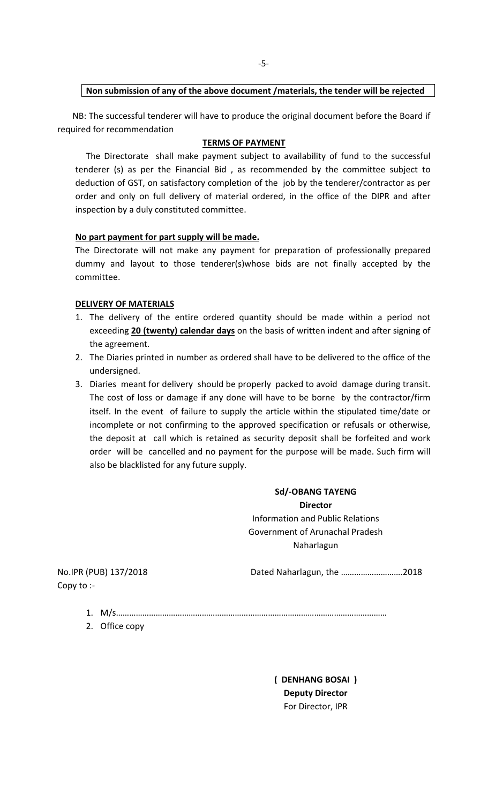## **Non submission of any of the above document /materials, the tender will be rejected**

 NB: The successful tenderer will have to produce the original document before the Board if required for recommendation

## **TERMS OF PAYMENT**

The Directorate shall make payment subject to availability of fund to the successful tenderer (s) as per the Financial Bid , as recommended by the committee subject to deduction of GST, on satisfactory completion of the job by the tenderer/contractor as per order and only on full delivery of material ordered, in the office of the DIPR and after inspection by a duly constituted committee.

## **No part payment for part supply will be made.**

The Directorate will not make any payment for preparation of professionally prepared dummy and layout to those tenderer(s)whose bids are not finally accepted by the committee.

## **DELIVERY OF MATERIALS**

- 1. The delivery of the entire ordered quantity should be made within a period not exceeding **20 (twenty) calendar days** on the basis of written indent and after signing of the agreement.
- 2. The Diaries printed in number as ordered shall have to be delivered to the office of the undersigned.
- 3. Diaries meant for delivery should be properly packed to avoid damage during transit. The cost of loss or damage if any done will have to be borne by the contractor/firm itself. In the event of failure to supply the article within the stipulated time/date or incomplete or not confirming to the approved specification or refusals or otherwise, the deposit at call which is retained as security deposit shall be forfeited and work order will be cancelled and no payment for the purpose will be made. Such firm will also be blacklisted for any future supply.

**Sd/‐OBANG TAYENG Director** Information and Public Relations Government of Arunachal Pradesh Naharlagun

Copy to :‐

No.IPR (PUB) 137/2018 Dated Naharlagun, the ……………………….2018

- 1. M/s……………………………………………………………………………………………………………
- 2. Office copy

**( DENHANG BOSAI ) Deputy Director** For Director, IPR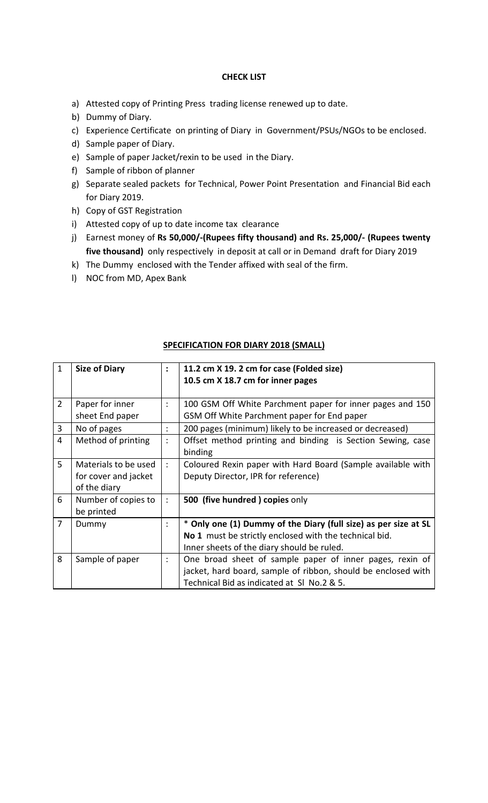## **CHECK LIST**

- a) Attested copy of Printing Press trading license renewed up to date.
- b) Dummy of Diary.
- c) Experience Certificate on printing of Diary in Government/PSUs/NGOs to be enclosed.
- d) Sample paper of Diary.
- e) Sample of paper Jacket/rexin to be used in the Diary.
- f) Sample of ribbon of planner
- g) Separate sealed packets for Technical, Power Point Presentation and Financial Bid each for Diary 2019.
- h) Copy of GST Registration
- i) Attested copy of up to date income tax clearance
- j) Earnest money of **Rs 50,000/‐(Rupees fifty thousand) and Rs. 25,000/‐ (Rupees twenty five thousand)** only respectively in deposit at call or in Demand draft for Diary 2019
- k) The Dummy enclosed with the Tender affixed with seal of the firm.
- l) NOC from MD, Apex Bank

| $\mathbf{1}$   | <b>Size of Diary</b> | $\ddot{\cdot}$         | 11.2 cm X 19. 2 cm for case (Folded size)                       |
|----------------|----------------------|------------------------|-----------------------------------------------------------------|
|                |                      |                        |                                                                 |
|                |                      |                        | 10.5 cm X 18.7 cm for inner pages                               |
|                |                      |                        |                                                                 |
| $\overline{2}$ | Paper for inner      | $\ddot{\cdot}$         | 100 GSM Off White Parchment paper for inner pages and 150       |
|                | sheet End paper      |                        | GSM Off White Parchment paper for End paper                     |
| 3              | No of pages          | $\bullet$<br>$\bullet$ | 200 pages (minimum) likely to be increased or decreased)        |
| 4              | Method of printing   | $\ddot{\cdot}$         | Offset method printing and binding is Section Sewing, case      |
|                |                      |                        | binding                                                         |
| 5              | Materials to be used | ÷                      | Coloured Rexin paper with Hard Board (Sample available with     |
|                | for cover and jacket |                        | Deputy Director, IPR for reference)                             |
|                | of the diary         |                        |                                                                 |
| 6              | Number of copies to  | ÷                      | 500 (five hundred) copies only                                  |
|                | be printed           |                        |                                                                 |
| $\overline{7}$ | Dummy                | ÷                      | * Only one (1) Dummy of the Diary (full size) as per size at SL |
|                |                      |                        | No 1 must be strictly enclosed with the technical bid.          |
|                |                      |                        | Inner sheets of the diary should be ruled.                      |
| 8              | Sample of paper      | $\ddot{\cdot}$         | One broad sheet of sample paper of inner pages, rexin of        |
|                |                      |                        | jacket, hard board, sample of ribbon, should be enclosed with   |
|                |                      |                        | Technical Bid as indicated at SI No.2 & 5.                      |

## **SPECIFICATION FOR DIARY 2018 (SMALL)**